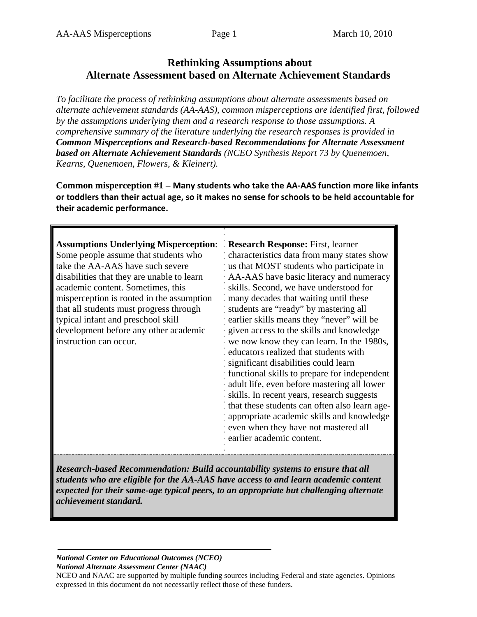# **Rethinking Assumptions about Alternate Assessment based on Alternate Achievement Standards**

*To facilitate the process of rethinking assumptions about alternate assessments based on alternate achievement standards (AA-AAS), common misperceptions are identified first, followed by the assumptions underlying them and a research response to those assumptions. A comprehensive summary of the literature underlying the research responses is provided in Common Misperceptions and Research-based Recommendations for Alternate Assessment based on Alternate Achievement Standards (NCEO Synthesis Report 73 by Quenemoen, Kearns, Quenemoen, Flowers, & Kleinert).* 

**Common misperception #1 – Many students who take the AA‐AAS function more like infants or toddlers than their actual age, so it makes no sense for schools to be held accountable for their academic performance.**

| <b>Assumptions Underlying Misperception:</b><br>Some people assume that students who<br>take the AA-AAS have such severe<br>disabilities that they are unable to learn<br>academic content. Sometimes, this<br>misperception is rooted in the assumption<br>that all students must progress through<br>typical infant and preschool skill<br>development before any other academic<br>instruction can occur. | Research Response: First, learner<br>characteristics data from many states show<br>us that MOST students who participate in<br>AA-AAS have basic literacy and numeracy<br>skills. Second, we have understood for<br>many decades that waiting until these<br>students are "ready" by mastering all<br>earlier skills means they "never" will be<br>· given access to the skills and knowledge<br>we now know they can learn. In the 1980s,<br>educators realized that students with<br>significant disabilities could learn<br>functional skills to prepare for independent<br>adult life, even before mastering all lower<br>skills. In recent years, research suggests<br>that these students can often also learn age-<br>appropriate academic skills and knowledge<br>even when they have not mastered all<br>earlier academic content. |
|--------------------------------------------------------------------------------------------------------------------------------------------------------------------------------------------------------------------------------------------------------------------------------------------------------------------------------------------------------------------------------------------------------------|---------------------------------------------------------------------------------------------------------------------------------------------------------------------------------------------------------------------------------------------------------------------------------------------------------------------------------------------------------------------------------------------------------------------------------------------------------------------------------------------------------------------------------------------------------------------------------------------------------------------------------------------------------------------------------------------------------------------------------------------------------------------------------------------------------------------------------------------|
|--------------------------------------------------------------------------------------------------------------------------------------------------------------------------------------------------------------------------------------------------------------------------------------------------------------------------------------------------------------------------------------------------------------|---------------------------------------------------------------------------------------------------------------------------------------------------------------------------------------------------------------------------------------------------------------------------------------------------------------------------------------------------------------------------------------------------------------------------------------------------------------------------------------------------------------------------------------------------------------------------------------------------------------------------------------------------------------------------------------------------------------------------------------------------------------------------------------------------------------------------------------------|

*Research-based Recommendation: Build accountability systems to ensure that all students who are eligible for the AA-AAS have access to and learn academic content expected for their same-age typical peers, to an appropriate but challenging alternate achievement standard.* 

## *National Center on Educational Outcomes (NCEO)*

*National Alternate Assessment Center (NAAC)* 

NCEO and NAAC are supported by multiple funding sources including Federal and state agencies. Opinions expressed in this document do not necessarily reflect those of these funders.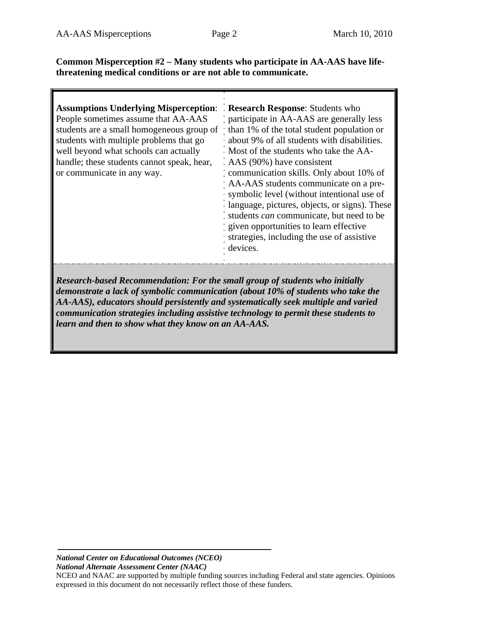**Common Misperception #2 – Many students who participate in AA-AAS have lifethreatening medical conditions or are not able to communicate.** 

| <b>Assumptions Underlying Misperception:</b><br>People sometimes assume that AA-AAS<br>students are a small homogeneous group of than 1% of the total student population or<br>students with multiple problems that go<br>well beyond what schools can actually<br>handle; these students cannot speak, hear,<br>or communicate in any way. | Research Response: Students who<br>participate in AA-AAS are generally less<br>· about 9% of all students with disabilities.<br>Most of the students who take the AA-<br>$\therefore$ AAS (90%) have consistent<br>communication skills. Only about 10% of<br>AA-AAS students communicate on a pre-<br>· symbolic level (without intentional use of<br>· language, pictures, objects, or signs). These<br>: students <i>can</i> communicate, but need to be<br>given opportunities to learn effective<br>strategies, including the use of assistive<br>devices. |
|---------------------------------------------------------------------------------------------------------------------------------------------------------------------------------------------------------------------------------------------------------------------------------------------------------------------------------------------|-----------------------------------------------------------------------------------------------------------------------------------------------------------------------------------------------------------------------------------------------------------------------------------------------------------------------------------------------------------------------------------------------------------------------------------------------------------------------------------------------------------------------------------------------------------------|
|                                                                                                                                                                                                                                                                                                                                             |                                                                                                                                                                                                                                                                                                                                                                                                                                                                                                                                                                 |

*Research-based Recommendation: For the small group of students who initially demonstrate a lack of symbolic communication (about 10% of students who take the AA-AAS), educators should persistently and systematically seek multiple and varied communication strategies including assistive technology to permit these students to learn and then to show what they know on an AA-AAS.*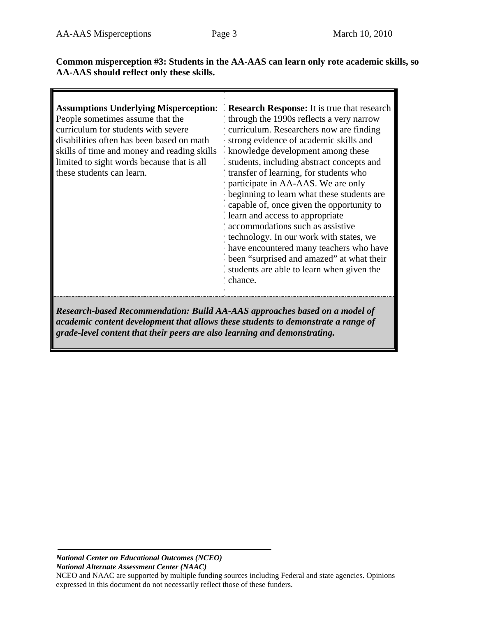**Common misperception #3: Students in the AA-AAS can learn only rote academic skills, so AA-AAS should reflect only these skills.** 

| <b>Assumptions Underlying Misperception:</b><br>People sometimes assume that the<br>curriculum for students with severe<br>disabilities often has been based on math<br>skills of time and money and reading skills<br>limited to sight words because that is all<br>these students can learn. | Research Response: It is true that research<br>through the 1990s reflects a very narrow<br>curriculum. Researchers now are finding<br>strong evidence of academic skills and<br>knowledge development among these<br>students, including abstract concepts and<br>transfer of learning, for students who<br>participate in AA-AAS. We are only<br>beginning to learn what these students are<br>capable of, once given the opportunity to |
|------------------------------------------------------------------------------------------------------------------------------------------------------------------------------------------------------------------------------------------------------------------------------------------------|-------------------------------------------------------------------------------------------------------------------------------------------------------------------------------------------------------------------------------------------------------------------------------------------------------------------------------------------------------------------------------------------------------------------------------------------|
|                                                                                                                                                                                                                                                                                                | learn and access to appropriate<br>accommodations such as assistive<br>technology. In our work with states, we<br>have encountered many teachers who have<br>been "surprised and amazed" at what their<br>students are able to learn when given the<br>chance.                                                                                                                                                                            |
| Research-based Recommendation: Build AA-AAS approaches based on a model of<br>academic content development that allows these students to demonstrate a range of                                                                                                                                |                                                                                                                                                                                                                                                                                                                                                                                                                                           |

*grade-level content that their peers are also learning and demonstrating.*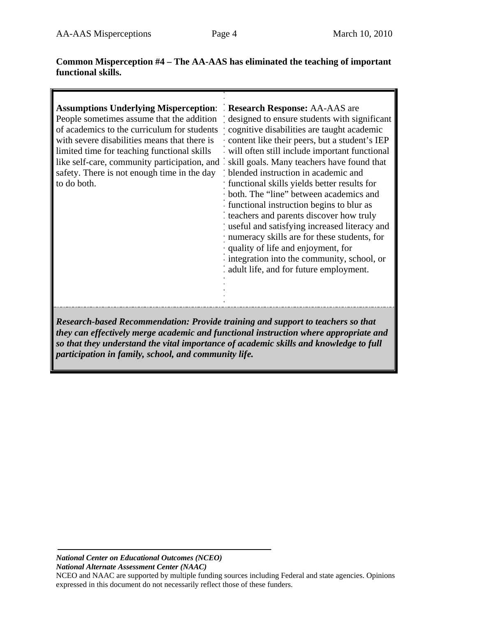## **Common Misperception #4 – The AA-AAS has eliminated the teaching of important functional skills.**

| <b>Assumptions Underlying Misperception: Research Response: AA-AAS are</b><br>People sometimes assume that the addition<br>of academics to the curriculum for students<br>with severe disabilities means that there is<br>limited time for teaching functional skills<br>like self-care, community participation, and skill goals. Many teachers have found that<br>safety. There is not enough time in the day<br>to do both. | designed to ensure students with significant<br>cognitive disabilities are taught academic<br>. content like their peers, but a student's IEP<br>will often still include important functional<br>blended instruction in academic and<br>functional skills yields better results for<br>· both. The "line" between academics and<br>functional instruction begins to blur as<br>teachers and parents discover how truly<br>useful and satisfying increased literacy and<br>: numeracy skills are for these students, for<br>quality of life and enjoyment, for<br>integration into the community, school, or<br>adult life, and for future employment. |
|--------------------------------------------------------------------------------------------------------------------------------------------------------------------------------------------------------------------------------------------------------------------------------------------------------------------------------------------------------------------------------------------------------------------------------|--------------------------------------------------------------------------------------------------------------------------------------------------------------------------------------------------------------------------------------------------------------------------------------------------------------------------------------------------------------------------------------------------------------------------------------------------------------------------------------------------------------------------------------------------------------------------------------------------------------------------------------------------------|
| Research-based Recommendation: Provide training and support to teachers so that<br>they can effectively merge academic and functional instruction where appropriate and<br>so that they understand the vital importance of academic skills and knowledge to full<br>participation in family, school, and community life.                                                                                                       |                                                                                                                                                                                                                                                                                                                                                                                                                                                                                                                                                                                                                                                        |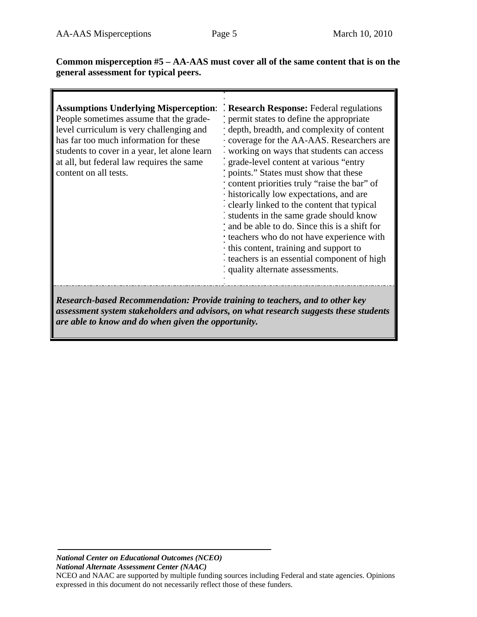**Common misperception #5 – AA-AAS must cover all of the same content that is on the general assessment for typical peers.** 

| <b>Assumptions Underlying Misperception:</b><br>People sometimes assume that the grade-<br>level curriculum is very challenging and<br>has far too much information for these<br>students to cover in a year, let alone learn<br>at all, but federal law requires the same<br>content on all tests. | <b>Research Response:</b> Federal regulations<br>permit states to define the appropriate<br>depth, breadth, and complexity of content<br>coverage for the AA-AAS. Researchers are<br>working on ways that students can access<br>: grade-level content at various "entry"<br>points." States must show that these<br>content priorities truly "raise the bar" of<br>· historically low expectations, and are<br>clearly linked to the content that typical |
|-----------------------------------------------------------------------------------------------------------------------------------------------------------------------------------------------------------------------------------------------------------------------------------------------------|------------------------------------------------------------------------------------------------------------------------------------------------------------------------------------------------------------------------------------------------------------------------------------------------------------------------------------------------------------------------------------------------------------------------------------------------------------|
|                                                                                                                                                                                                                                                                                                     | students in the same grade should know<br>and be able to do. Since this is a shift for<br>teachers who do not have experience with<br>this content, training and support to<br>teachers is an essential component of high<br>quality alternate assessments.                                                                                                                                                                                                |
| Research-based Recommendation: Provide training to teachers, and to other key                                                                                                                                                                                                                       |                                                                                                                                                                                                                                                                                                                                                                                                                                                            |

*Research-based Recommendation: Provide training to teachers, and to other key assessment system stakeholders and advisors, on what research suggests these students are able to know and do when given the opportunity.*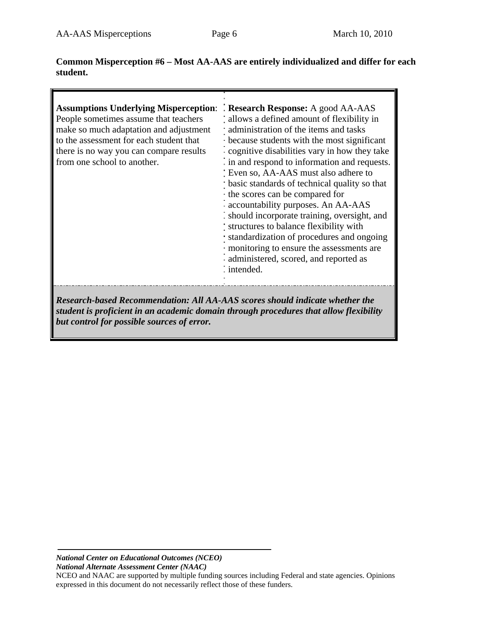**Common Misperception #6 – Most AA-AAS are entirely individualized and differ for each student.** 

| <b>Assumptions Underlying Misperception:</b><br>People sometimes assume that teachers<br>make so much adaptation and adjustment<br>to the assessment for each student that<br>there is no way you can compare results<br>from one school to another. | Research Response: A good AA-AAS<br>allows a defined amount of flexibility in<br>administration of the items and tasks<br>because students with the most significant<br>cognitive disabilities vary in how they take<br>in and respond to information and requests.<br>: Even so, AA-AAS must also adhere to<br>basic standards of technical quality so that<br>the scores can be compared for<br>accountability purposes. An AA-AAS<br>should incorporate training, oversight, and<br>structures to balance flexibility with<br>standardization of procedures and ongoing<br>monitoring to ensure the assessments are<br>administered, scored, and reported as<br>: intended. |
|------------------------------------------------------------------------------------------------------------------------------------------------------------------------------------------------------------------------------------------------------|--------------------------------------------------------------------------------------------------------------------------------------------------------------------------------------------------------------------------------------------------------------------------------------------------------------------------------------------------------------------------------------------------------------------------------------------------------------------------------------------------------------------------------------------------------------------------------------------------------------------------------------------------------------------------------|
| Research-based Recommendation: All AA-AAS scores should indicate whether the                                                                                                                                                                         |                                                                                                                                                                                                                                                                                                                                                                                                                                                                                                                                                                                                                                                                                |

*student is proficient in an academic domain through procedures that allow flexibility but control for possible sources of error.*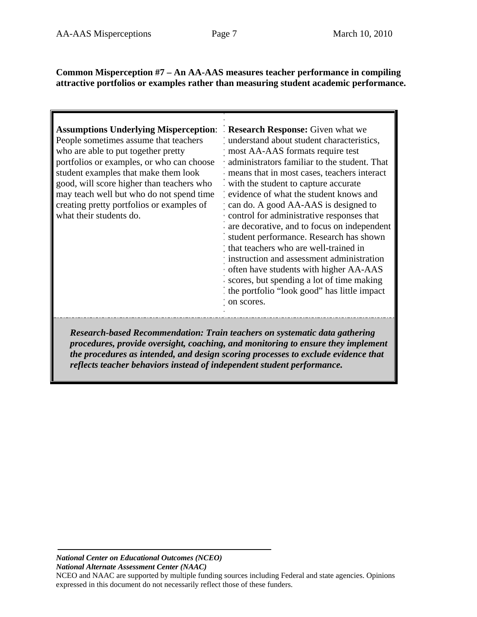## **Common Misperception #7 – An AA-AAS measures teacher performance in compiling attractive portfolios or examples rather than measuring student academic performance.**

| <b>Assumptions Underlying Misperception:</b><br>People sometimes assume that teachers | <b>Research Response:</b> Given what we<br>understand about student characteristics,                                                                         |
|---------------------------------------------------------------------------------------|--------------------------------------------------------------------------------------------------------------------------------------------------------------|
| who are able to put together pretty                                                   | most AA-AAS formats require test                                                                                                                             |
| portfolios or examples, or who can choose                                             | administrators familiar to the student. That                                                                                                                 |
| student examples that make them look                                                  | means that in most cases, teachers interact                                                                                                                  |
| good, will score higher than teachers who                                             | with the student to capture accurate                                                                                                                         |
| may teach well but who do not spend time                                              | evidence of what the student knows and                                                                                                                       |
| creating pretty portfolios or examples of                                             | can do. A good AA-AAS is designed to                                                                                                                         |
| what their students do.                                                               | control for administrative responses that                                                                                                                    |
|                                                                                       | are decorative, and to focus on independent                                                                                                                  |
|                                                                                       | student performance. Research has shown                                                                                                                      |
|                                                                                       | that teachers who are well-trained in<br>instruction and assessment administration                                                                           |
|                                                                                       | often have students with higher AA-AAS                                                                                                                       |
|                                                                                       | scores, but spending a lot of time making                                                                                                                    |
|                                                                                       | the portfolio "look good" has little impact                                                                                                                  |
|                                                                                       | on scores.                                                                                                                                                   |
|                                                                                       |                                                                                                                                                              |
|                                                                                       |                                                                                                                                                              |
|                                                                                       | Research-based Recommendation: Train teachers on systematic data gathering<br>measdures nrouids quorsialt socialing and monitoring to quoura thay implayment |

*procedures, provide oversight, coaching, and monitoring to ensure they implement the procedures as intended, and design scoring processes to exclude evidence that reflects teacher behaviors instead of independent student performance.*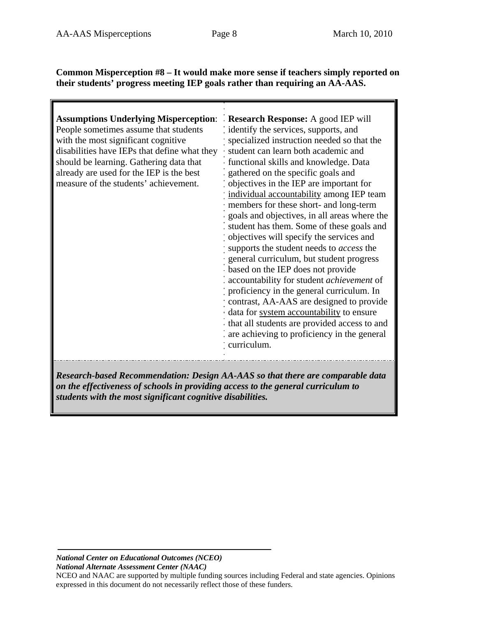**Common Misperception #8 – It would make more sense if teachers simply reported on their students' progress meeting IEP goals rather than requiring an AA-AAS.** 

| <b>Assumptions Underlying Misperception:</b><br>People sometimes assume that students<br>with the most significant cognitive<br>disabilities have IEPs that define what they<br>should be learning. Gathering data that<br>already are used for the IEP is the best<br>measure of the students' achievement. | <b>Research Response:</b> A good IEP will<br>identify the services, supports, and<br>specialized instruction needed so that the<br>student can learn both academic and<br>functional skills and knowledge. Data<br>gathered on the specific goals and<br>objectives in the IEP are important for<br>individual accountability among IEP team<br>members for these short- and long-term<br>goals and objectives, in all areas where the<br>student has them. Some of these goals and<br>objectives will specify the services and<br>supports the student needs to <i>access</i> the<br>general curriculum, but student progress<br>based on the IEP does not provide<br>accountability for student achievement of<br>proficiency in the general curriculum. In<br>contrast, AA-AAS are designed to provide<br>data for system accountability to ensure<br>that all students are provided access to and<br>are achieving to proficiency in the general<br>curriculum. |
|--------------------------------------------------------------------------------------------------------------------------------------------------------------------------------------------------------------------------------------------------------------------------------------------------------------|---------------------------------------------------------------------------------------------------------------------------------------------------------------------------------------------------------------------------------------------------------------------------------------------------------------------------------------------------------------------------------------------------------------------------------------------------------------------------------------------------------------------------------------------------------------------------------------------------------------------------------------------------------------------------------------------------------------------------------------------------------------------------------------------------------------------------------------------------------------------------------------------------------------------------------------------------------------------|
| Research-based Recommendation: Design AA-AAS so that there are comparable data                                                                                                                                                                                                                               |                                                                                                                                                                                                                                                                                                                                                                                                                                                                                                                                                                                                                                                                                                                                                                                                                                                                                                                                                                     |

*Research-based Recommendation: Design AA-AAS so that there are comparable data on the effectiveness of schools in providing access to the general curriculum to students with the most significant cognitive disabilities.*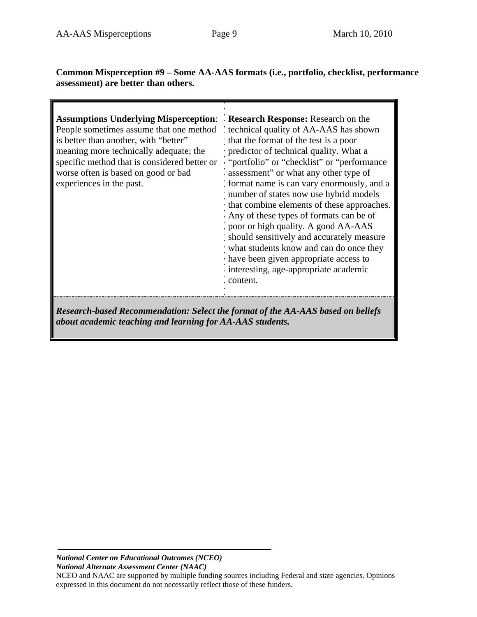ī

**Common Misperception #9 – Some AA-AAS formats (i.e., portfolio, checklist, performance assessment) are better than others.** 

| <b>Assumptions Underlying Misperception:</b><br>People sometimes assume that one method<br>is better than another, with "better"<br>meaning more technically adequate; the<br>specific method that is considered better or<br>worse often is based on good or bad<br>experiences in the past. | Research Response: Research on the<br>technical quality of AA-AAS has shown<br>that the format of the test is a poor<br>· predictor of technical quality. What a<br>. "portfolio" or "checklist" or "performance"<br>assessment" or what any other type of<br>format name is can vary enormously, and a<br>number of states now use hybrid models<br>that combine elements of these approaches.<br>Any of these types of formats can be of |
|-----------------------------------------------------------------------------------------------------------------------------------------------------------------------------------------------------------------------------------------------------------------------------------------------|--------------------------------------------------------------------------------------------------------------------------------------------------------------------------------------------------------------------------------------------------------------------------------------------------------------------------------------------------------------------------------------------------------------------------------------------|
|                                                                                                                                                                                                                                                                                               | poor or high quality. A good AA-AAS<br>should sensitively and accurately measure<br>what students know and can do once they                                                                                                                                                                                                                                                                                                                |
|                                                                                                                                                                                                                                                                                               | have been given appropriate access to<br>interesting, age-appropriate academic<br>content.                                                                                                                                                                                                                                                                                                                                                 |
| <b>Research-based Recommendation: Select the format of the AA-AAS based on beliefs</b>                                                                                                                                                                                                        |                                                                                                                                                                                                                                                                                                                                                                                                                                            |

*about academic teaching and learning for AA-AAS students.*